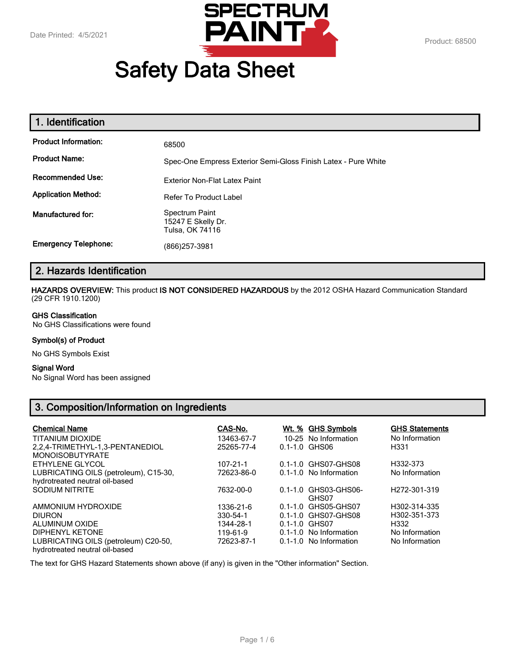

# **Safety Data Sheet**

| 1. Identification           |                                                                |
|-----------------------------|----------------------------------------------------------------|
| <b>Product Information:</b> | 68500                                                          |
| <b>Product Name:</b>        | Spec-One Empress Exterior Semi-Gloss Finish Latex - Pure White |
| <b>Recommended Use:</b>     | Exterior Non-Flat Latex Paint                                  |
| <b>Application Method:</b>  | Refer To Product Label                                         |
| Manufactured for:           | Spectrum Paint<br>15247 E Skelly Dr.<br>Tulsa, OK 74116        |
| <b>Emergency Telephone:</b> | (866) 257-3981                                                 |

# **2. Hazards Identification**

**HAZARDS OVERVIEW:** This product **IS NOT CONSIDERED HAZARDOUS** by the 2012 OSHA Hazard Communication Standard (29 CFR 1910.1200)

#### **GHS Classification**

No GHS Classifications were found

#### **Symbol(s) of Product**

No GHS Symbols Exist

#### **Signal Word**

No Signal Word has been assigned

# **3. Composition/Information on Ingredients**

| <b>Chemical Name</b>                                                    | CAS-No.        | Wt. % GHS Symbols             | <b>GHS Statements</b>     |
|-------------------------------------------------------------------------|----------------|-------------------------------|---------------------------|
| TITANIUM DIOXIDE                                                        | 13463-67-7     | 10-25 No Information          | No Information            |
| 2.2.4-TRIMETHYL-1.3-PENTANEDIOL<br><b>MONOISOBUTYRATE</b>               | 25265-77-4     | 0.1-1.0 GHS06                 | H331                      |
| ETHYLENE GLYCOL                                                         | $107 - 21 - 1$ | 0.1-1.0 GHS07-GHS08           | H332-373                  |
| LUBRICATING OILS (petroleum), C15-30,<br>hydrotreated neutral oil-based | 72623-86-0     | 0.1-1.0 No Information        | No Information            |
| SODIUM NITRITE                                                          | 7632-00-0      | 0.1-1.0 GHS03-GHS06-<br>GHS07 | H <sub>272</sub> -301-319 |
| AMMONIUM HYDROXIDE                                                      | 1336-21-6      | 0.1-1.0 GHS05-GHS07           | H302-314-335              |
| <b>DIURON</b>                                                           | 330-54-1       | 0.1-1.0 GHS07-GHS08           | H <sub>3</sub> 02-351-373 |
| ALUMINUM OXIDE                                                          | 1344-28-1      | $0.1 - 1.0$ GHS07             | H332                      |
| DIPHENYL KETONE                                                         | 119-61-9       | 0.1-1.0 No Information        | No Information            |
| LUBRICATING OILS (petroleum) C20-50,<br>hydrotreated neutral oil-based  | 72623-87-1     | 0.1-1.0 No Information        | No Information            |

The text for GHS Hazard Statements shown above (if any) is given in the "Other information" Section.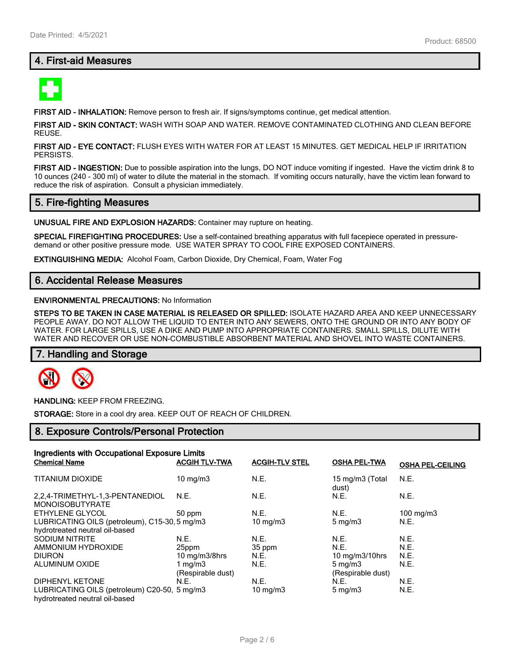# **4. First-aid Measures**



**FIRST AID - INHALATION:** Remove person to fresh air. If signs/symptoms continue, get medical attention.

**FIRST AID - SKIN CONTACT:** WASH WITH SOAP AND WATER. REMOVE CONTAMINATED CLOTHING AND CLEAN BEFORE REUSE.

**FIRST AID - EYE CONTACT:** FLUSH EYES WITH WATER FOR AT LEAST 15 MINUTES. GET MEDICAL HELP IF IRRITATION PERSISTS.

**FIRST AID - INGESTION:** Due to possible aspiration into the lungs, DO NOT induce vomiting if ingested. Have the victim drink 8 to 10 ounces (240 - 300 ml) of water to dilute the material in the stomach. If vomiting occurs naturally, have the victim lean forward to reduce the risk of aspiration. Consult a physician immediately.

## **5. Fire-fighting Measures**

**UNUSUAL FIRE AND EXPLOSION HAZARDS:** Container may rupture on heating.

**SPECIAL FIREFIGHTING PROCEDURES:** Use a self-contained breathing apparatus with full facepiece operated in pressuredemand or other positive pressure mode. USE WATER SPRAY TO COOL FIRE EXPOSED CONTAINERS.

**EXTINGUISHING MEDIA:** Alcohol Foam, Carbon Dioxide, Dry Chemical, Foam, Water Fog

## **6. Accidental Release Measures**

#### **ENVIRONMENTAL PRECAUTIONS:** No Information

**STEPS TO BE TAKEN IN CASE MATERIAL IS RELEASED OR SPILLED:** ISOLATE HAZARD AREA AND KEEP UNNECESSARY PEOPLE AWAY. DO NOT ALLOW THE LIQUID TO ENTER INTO ANY SEWERS, ONTO THE GROUND OR INTO ANY BODY OF WATER. FOR LARGE SPILLS, USE A DIKE AND PUMP INTO APPROPRIATE CONTAINERS. SMALL SPILLS, DILUTE WITH WATER AND RECOVER OR USE NON-COMBUSTIBLE ABSORBENT MATERIAL AND SHOVEL INTO WASTE CONTAINERS.

## **7. Handling and Storage**



**HANDLING:** KEEP FROM FREEZING.

**STORAGE:** Store in a cool dry area. KEEP OUT OF REACH OF CHILDREN.

## **8. Exposure Controls/Personal Protection**

| Ingredients with Occupational Exposure Limits |                             |                       |                          |                         |
|-----------------------------------------------|-----------------------------|-----------------------|--------------------------|-------------------------|
| <b>Chemical Name</b>                          | <b>ACGIH TLV-TWA</b>        | <b>ACGIH-TLV STEL</b> | <b>OSHA PEL-TWA</b>      | <b>OSHA PEL-CEILING</b> |
| <b>TITANIUM DIOXIDE</b>                       | $10 \text{ mg/m}$           | N.E.                  | 15 mg/m3 (Total<br>dust) | N.E.                    |
| 2.2.4-TRIMETHYL-1.3-PENTANEDIOL               | N.E.                        | N.E.                  | N.E.                     | N.E.                    |
| <b>MONOISOBUTYRATE</b>                        |                             |                       |                          |                         |
| ETHYLENE GLYCOL                               | 50 ppm                      | N.E.                  | N.E.                     | $100 \text{ mg/m}$ 3    |
| LUBRICATING OILS (petroleum), C15-30, 5 mg/m3 |                             | $10 \text{ mg/m}$     | $5 \text{ mg/m}$         | N.E.                    |
| hydrotreated neutral oil-based                |                             |                       |                          |                         |
| <b>SODIUM NITRITE</b>                         | N.E.                        | N.E.                  | N.E.                     | N.E.                    |
| AMMONIUM HYDROXIDE                            | 25ppm                       | 35 ppm                | N.E.                     | N.E.                    |
| <b>DIURON</b>                                 | $10 \text{ mg/m}$ $3/8$ hrs | N.E.                  | 10 mg/m3/10hrs           | N.E.                    |
| ALUMINUM OXIDE                                | 1 mg/m $3$                  | N.E.                  | $5 \text{ mg/m}$         | N.E.                    |
|                                               | (Respirable dust)           |                       | (Respirable dust)        |                         |
| DIPHENYL KETONE                               | N.E.                        | N.E.                  | N.E.                     | N.E.                    |
| LUBRICATING OILS (petroleum) C20-50, 5 mg/m3  |                             | 10 mg/m $3$           | $5 \text{ mg/m}$         | N.E.                    |
| hydrotreated neutral oil-based                |                             |                       |                          |                         |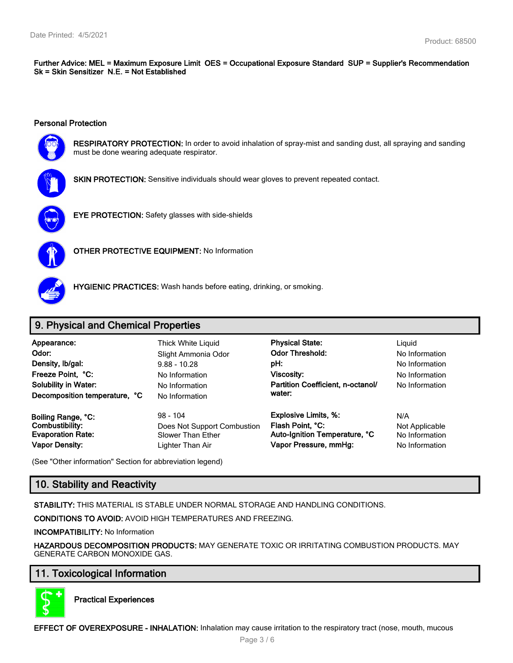**Further Advice: MEL = Maximum Exposure Limit OES = Occupational Exposure Standard SUP = Supplier's Recommendation Sk = Skin Sensitizer N.E. = Not Established**

#### **Personal Protection**



**RESPIRATORY PROTECTION:** In order to avoid inhalation of spray-mist and sanding dust, all spraying and sanding must be done wearing adequate respirator.



**SKIN PROTECTION:** Sensitive individuals should wear gloves to prevent repeated contact.



**EYE PROTECTION:** Safety glasses with side-shields



**OTHER PROTECTIVE EQUIPMENT:** No Information



**HYGIENIC PRACTICES:** Wash hands before eating, drinking, or smoking.

# **9. Physical and Chemical Properties**

| Appearance:<br>Odor:<br>Density, Ib/gal:<br>Freeze Point, °C:<br><b>Solubility in Water:</b><br>Decomposition temperature, °C | Thick White Liquid<br>Slight Ammonia Odor<br>$9.88 - 10.28$<br>No Information<br>No Information<br>No Information | <b>Physical State:</b><br><b>Odor Threshold:</b><br>pH:<br>Viscosity:<br>Partition Coefficient. n-octanol/<br>water: | Liguid<br>No Information<br>No Information<br>No Information<br>No Information |
|-------------------------------------------------------------------------------------------------------------------------------|-------------------------------------------------------------------------------------------------------------------|----------------------------------------------------------------------------------------------------------------------|--------------------------------------------------------------------------------|
| Boiling Range, °C:                                                                                                            | $98 - 104$                                                                                                        | <b>Explosive Limits, %:</b>                                                                                          | N/A                                                                            |
| Combustibility:                                                                                                               | Does Not Support Combustion                                                                                       | Flash Point, °C:                                                                                                     | Not Applicable                                                                 |
| <b>Evaporation Rate:</b>                                                                                                      | Slower Than Ether                                                                                                 | Auto-Ignition Temperature, °C                                                                                        | No Information                                                                 |
| <b>Vapor Density:</b>                                                                                                         | Lighter Than Air                                                                                                  | Vapor Pressure, mmHg:                                                                                                | No Information                                                                 |

(See "Other information" Section for abbreviation legend)

# **10. Stability and Reactivity**

**STABILITY:** THIS MATERIAL IS STABLE UNDER NORMAL STORAGE AND HANDLING CONDITIONS.

**CONDITIONS TO AVOID:** AVOID HIGH TEMPERATURES AND FREEZING.

**INCOMPATIBILITY:** No Information

**HAZARDOUS DECOMPOSITION PRODUCTS:** MAY GENERATE TOXIC OR IRRITATING COMBUSTION PRODUCTS. MAY GENERATE CARBON MONOXIDE GAS.

# **11. Toxicological Information**



**Practical Experiences**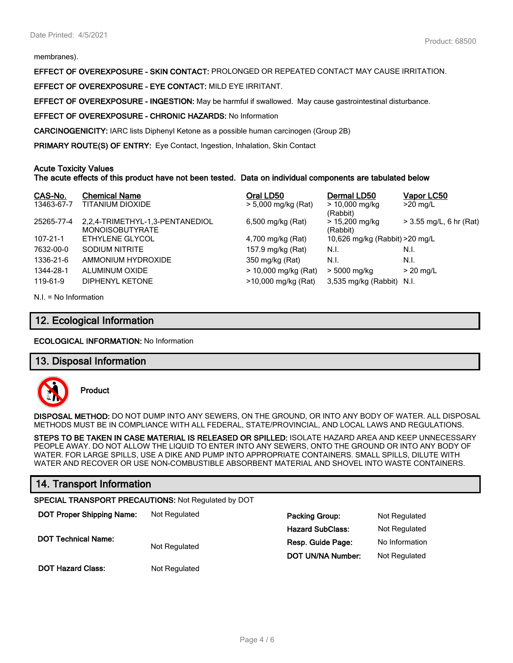membranes).

**EFFECT OF OVEREXPOSURE - SKIN CONTACT:** PROLONGED OR REPEATED CONTACT MAY CAUSE IRRITATION.

**EFFECT OF OVEREXPOSURE - EYE CONTACT:** MILD EYE IRRITANT.

**EFFECT OF OVEREXPOSURE - INGESTION:** May be harmful if swallowed. May cause gastrointestinal disturbance.

**EFFECT OF OVEREXPOSURE - CHRONIC HAZARDS:** No Information

**CARCINOGENICITY:** IARC lists Diphenyl Ketone as a possible human carcinogen (Group 2B)

**PRIMARY ROUTE(S) OF ENTRY:** Eye Contact, Ingestion, Inhalation, Skin Contact

#### **Acute Toxicity Values**

#### **The acute effects of this product have not been tested. Data on individual components are tabulated below**

| CAS-No.        | <b>Chemical Name</b>                                      | Oral LD50            | Dermal LD50                     | Vapor LC50                |
|----------------|-----------------------------------------------------------|----------------------|---------------------------------|---------------------------|
| 13463-67-7     | TITANIUM DIOXIDE                                          | > 5,000 mg/kg (Rat)  | $> 10,000$ mg/kg<br>(Rabbit)    | $>20$ mg/L                |
| 25265-77-4     | 2,2,4-TRIMETHYL-1,3-PENTANEDIOL<br><b>MONOISOBUTYRATE</b> | 6,500 mg/kg (Rat)    | > 15,200 mg/kg<br>(Rabbit)      | $> 3.55$ mg/L, 6 hr (Rat) |
| $107 - 21 - 1$ | ETHYLENE GLYCOL                                           | 4,700 mg/kg (Rat)    | 10,626 mg/kg (Rabbit) > 20 mg/L |                           |
| 7632-00-0      | SODIUM NITRITE                                            | 157.9 mg/kg (Rat)    | N.I.                            | N.I.                      |
| 1336-21-6      | AMMONIUM HYDROXIDE                                        | 350 mg/kg (Rat)      | N.I.                            | N.I.                      |
| 1344-28-1      | ALUMINUM OXIDE                                            | > 10,000 mg/kg (Rat) | > 5000 mg/kg                    | $>$ 20 mg/L               |
| 119-61-9       | <b>DIPHENYL KETONE</b>                                    | >10,000 mg/kg (Rat)  | 3,535 mg/kg (Rabbit)            | N.I.                      |

N.I. = No Information

## **12. Ecological Information**

#### **ECOLOGICAL INFORMATION:** No Information

## **13. Disposal Information**



**Product**

**DISPOSAL METHOD:** DO NOT DUMP INTO ANY SEWERS, ON THE GROUND, OR INTO ANY BODY OF WATER. ALL DISPOSAL METHODS MUST BE IN COMPLIANCE WITH ALL FEDERAL, STATE/PROVINCIAL, AND LOCAL LAWS AND REGULATIONS.

**STEPS TO BE TAKEN IN CASE MATERIAL IS RELEASED OR SPILLED:** ISOLATE HAZARD AREA AND KEEP UNNECESSARY PEOPLE AWAY. DO NOT ALLOW THE LIQUID TO ENTER INTO ANY SEWERS, ONTO THE GROUND OR INTO ANY BODY OF WATER. FOR LARGE SPILLS, USE A DIKE AND PUMP INTO APPROPRIATE CONTAINERS. SMALL SPILLS, DILUTE WITH WATER AND RECOVER OR USE NON-COMBUSTIBLE ABSORBENT MATERIAL AND SHOVEL INTO WASTE CONTAINERS.

# **14. Transport Information**

#### **SPECIAL TRANSPORT PRECAUTIONS:** Not Regulated by DOT

| <b>DOT Proper Shipping Name:</b> | Not Regulated | <b>Packing Group:</b>    | Not Regulated  |
|----------------------------------|---------------|--------------------------|----------------|
|                                  |               | <b>Hazard SubClass:</b>  | Not Regulated  |
| <b>DOT Technical Name:</b>       | Not Regulated | Resp. Guide Page:        | No Information |
|                                  |               | <b>DOT UN/NA Number:</b> | Not Regulated  |
| <b>DOT Hazard Class:</b>         | Not Regulated |                          |                |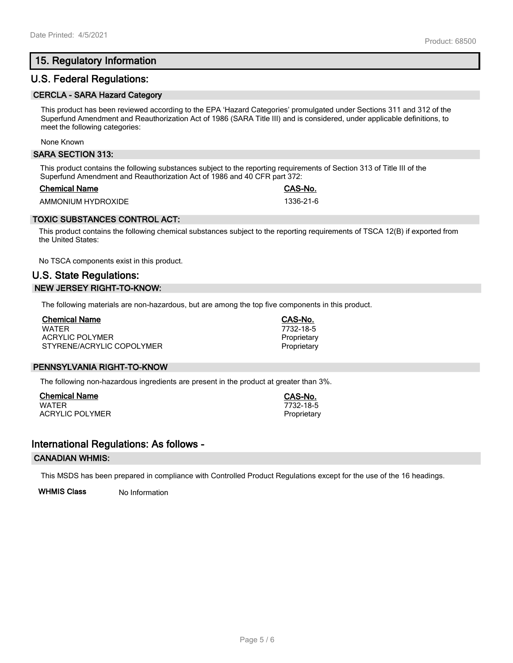# **15. Regulatory Information**

## **U.S. Federal Regulations:**

#### **CERCLA - SARA Hazard Category**

This product has been reviewed according to the EPA 'Hazard Categories' promulgated under Sections 311 and 312 of the Superfund Amendment and Reauthorization Act of 1986 (SARA Title III) and is considered, under applicable definitions, to meet the following categories:

None Known

#### **SARA SECTION 313:**

This product contains the following substances subject to the reporting requirements of Section 313 of Title III of the Superfund Amendment and Reauthorization Act of 1986 and 40 CFR part 372:

#### **Chemical Name CAS-No.**

AMMONIUM HYDROXIDE 1336-21-6

## **TOXIC SUBSTANCES CONTROL ACT:**

This product contains the following chemical substances subject to the reporting requirements of TSCA 12(B) if exported from the United States:

No TSCA components exist in this product.

# **U.S. State Regulations: NEW JERSEY RIGHT-TO-KNOW:**

The following materials are non-hazardous, but are among the top five components in this product.

| <b>Chemical Name</b>      |  |
|---------------------------|--|
| <b>WATFR</b>              |  |
| ACRYLIC POLYMER           |  |
| STYRENE/ACRYLIC COPOLYMER |  |

#### **PENNSYLVANIA RIGHT-TO-KNOW**

The following non-hazardous ingredients are present in the product at greater than 3%.

**Chemical Name CAS-No.** ACRYLIC POLYMER **Proprietary** Proprietary

## **International Regulations: As follows -**

#### **CANADIAN WHMIS:**

This MSDS has been prepared in compliance with Controlled Product Regulations except for the use of the 16 headings.

**WHMIS Class** No Information

**Chemical Name CAS-No.** WATER 7732-18-5 Proprietary Proprietary

 $7732 - 18 - 5$